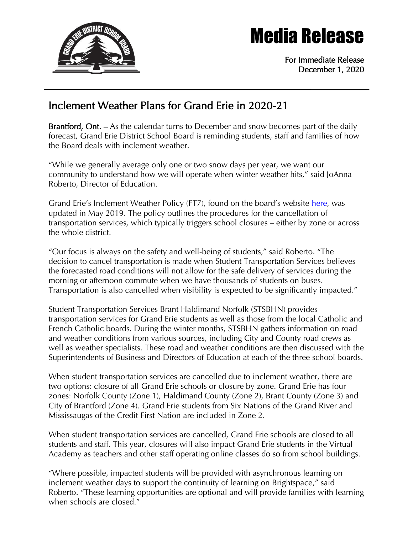

## Media Release

For Immediate Release December 1, 2020

## Inclement Weather Plans for Grand Erie in 2020-21

Brantford, Ont. – As the calendar turns to December and snow becomes part of the daily forecast, Grand Erie District School Board is reminding students, staff and families of how the Board deals with inclement weather.

"While we generally average only one or two snow days per year, we want our community to understand how we will operate when winter weather hits," said JoAnna Roberto, Director of Education.

Grand Erie's Inclement Weather Policy (FT7), found on the board's website [here,](https://www.granderie.ca/application/files/9215/5907/1526/FT7_Inclement_Weather.pdf) was updated in May 2019. The policy outlines the procedures for the cancellation of transportation services, which typically triggers school closures – either by zone or across the whole district.

"Our focus is always on the safety and well-being of students," said Roberto. "The decision to cancel transportation is made when Student Transportation Services believes the forecasted road conditions will not allow for the safe delivery of services during the morning or afternoon commute when we have thousands of students on buses. Transportation is also cancelled when visibility is expected to be significantly impacted."

Student Transportation Services Brant Haldimand Norfolk (STSBHN) provides transportation services for Grand Erie students as well as those from the local Catholic and French Catholic boards. During the winter months, STSBHN gathers information on road and weather conditions from various sources, including City and County road crews as well as weather specialists. These road and weather conditions are then discussed with the Superintendents of Business and Directors of Education at each of the three school boards.

When student transportation services are cancelled due to inclement weather, there are two options: closure of all Grand Erie schools or closure by zone. Grand Erie has four zones: Norfolk County (Zone 1), Haldimand County (Zone 2), Brant County (Zone 3) and City of Brantford (Zone 4). Grand Erie students from Six Nations of the Grand River and Mississaugas of the Credit First Nation are included in Zone 2.

When student transportation services are cancelled, Grand Erie schools are closed to all students and staff. This year, closures will also impact Grand Erie students in the Virtual Academy as teachers and other staff operating online classes do so from school buildings.

"Where possible, impacted students will be provided with asynchronous learning on inclement weather days to support the continuity of learning on Brightspace," said Roberto. "These learning opportunities are optional and will provide families with learning when schools are closed."